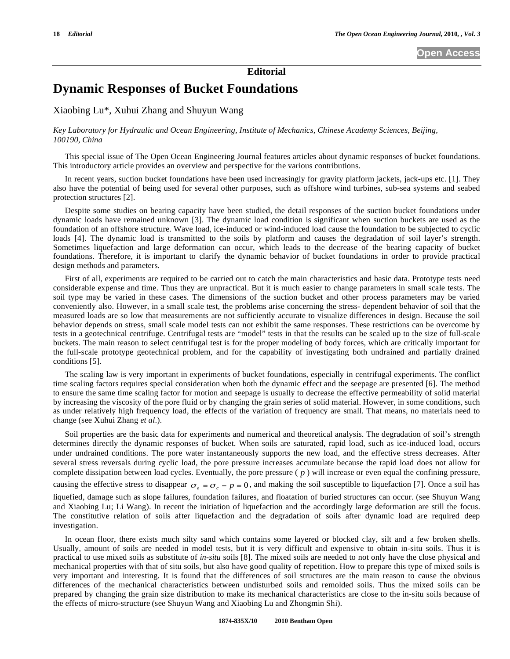**Editorial** 

# **Dynamic Responses of Bucket Foundations**

Xiaobing Lu\*, Xuhui Zhang and Shuyun Wang

## *Key Laboratory for Hydraulic and Ocean Engineering, Institute of Mechanics, Chinese Academy Sciences, Beijing, 100190, China*

This special issue of The Open Ocean Engineering Journal features articles about dynamic responses of bucket foundations. This introductory article provides an overview and perspective for the various contributions.

In recent years, suction bucket foundations have been used increasingly for gravity platform jackets, jack-ups etc. [1]. They also have the potential of being used for several other purposes, such as offshore wind turbines, sub-sea systems and seabed protection structures [2].

Despite some studies on bearing capacity have been studied, the detail responses of the suction bucket foundations under dynamic loads have remained unknown [3]. The dynamic load condition is significant when suction buckets are used as the foundation of an offshore structure. Wave load, ice-induced or wind-induced load cause the foundation to be subjected to cyclic loads [4]. The dynamic load is transmitted to the soils by platform and causes the degradation of soil layer's strength. Sometimes liquefaction and large deformation can occur, which leads to the decrease of the bearing capacity of bucket foundations. Therefore, it is important to clarify the dynamic behavior of bucket foundations in order to provide practical design methods and parameters.

First of all, experiments are required to be carried out to catch the main characteristics and basic data. Prototype tests need considerable expense and time. Thus they are unpractical. But it is much easier to change parameters in small scale tests. The soil type may be varied in these cases. The dimensions of the suction bucket and other process parameters may be varied conveniently also. However, in a small scale test, the problems arise concerning the stress- dependent behavior of soil that the measured loads are so low that measurements are not sufficiently accurate to visualize differences in design. Because the soil behavior depends on stress, small scale model tests can not exhibit the same responses. These restrictions can be overcome by tests in a geotechnical centrifuge. Centrifugal tests are "model" tests in that the results can be scaled up to the size of full-scale buckets. The main reason to select centrifugal test is for the proper modeling of body forces, which are critically important for the full-scale prototype geotechnical problem, and for the capability of investigating both undrained and partially drained conditions [5].

The scaling law is very important in experiments of bucket foundations, especially in centrifugal experiments. The conflict time scaling factors requires special consideration when both the dynamic effect and the seepage are presented [6]. The method to ensure the same time scaling factor for motion and seepage is usually to decrease the effective permeability of solid material by increasing the viscosity of the pore fluid or by changing the grain series of solid material. However, in some conditions, such as under relatively high frequency load, the effects of the variation of frequency are small. That means, no materials need to change (see Xuhui Zhang *et al*.).

Soil properties are the basic data for experiments and numerical and theoretical analysis. The degradation of soil's strength determines directly the dynamic responses of bucket. When soils are saturated, rapid load, such as ice-induced load, occurs under undrained conditions. The pore water instantaneously supports the new load, and the effective stress decreases. After several stress reversals during cyclic load, the pore pressure increases accumulate because the rapid load does not allow for complete dissipation between load cycles. Eventually, the pore pressure ( *p* ) will increase or even equal the confining pressure, causing the effective stress to disappear  $\sigma_e = \sigma_c - p = 0$ , and making the soil susceptible to liquefaction [7]. Once a soil has liquefied, damage such as slope failures, foundation failures, and floatation of buried structures can occur. (see Shuyun Wang and Xiaobing Lu; Li Wang). In recent the initiation of liquefaction and the accordingly large deformation are still the focus. The constitutive relation of soils after liquefaction and the degradation of soils after dynamic load are required deep investigation.

In ocean floor, there exists much silty sand which contains some layered or blocked clay, silt and a few broken shells. Usually, amount of soils are needed in model tests, but it is very difficult and expensive to obtain in-situ soils. Thus it is practical to use mixed soils as substitute of *in-situ* soils [8]. The mixed soils are needed to not only have the close physical and mechanical properties with that of situ soils, but also have good quality of repetition. How to prepare this type of mixed soils is very important and interesting. It is found that the differences of soil structures are the main reason to cause the obvious differences of the mechanical characteristics between undisturbed soils and remolded soils. Thus the mixed soils can be prepared by changing the grain size distribution to make its mechanical characteristics are close to the in-situ soils because of the effects of micro-structure (see Shuyun Wang and Xiaobing Lu and Zhongmin Shi).